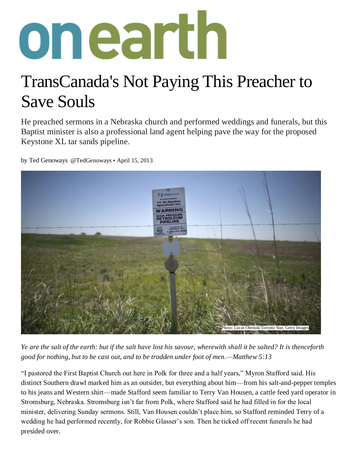

## TransCanada's Not Paying This Preacher to Save Souls

He preached sermons in a Nebraska church and performed weddings and funerals, but this Baptist minister is also a professional land agent helping pave the way for the proposed Keystone XL tar sands pipeline.

by [Ted Genoways](http://www.onearth.org/author/ted-genoways) [@TedGenoways](http://twitter.com/TedGenoways) • April 15, 2013



*Ye are the salt of the earth: but if the salt have lost his savour, wherewith shall it be salted? It is thenceforth good for nothing, but to be cast out, and to be trodden under foot of men.—Matthew 5:13*

"I pastored the First Baptist Church out here in Polk for three and a half years," Myron Stafford said. His distinct Southern drawl marked him as an outsider, but everything about him—from his salt-and-pepper temples to his jeans and Western shirt—made Stafford seem familiar to Terry Van Housen, a cattle feed yard operator in Stromsburg, Nebraska. Stromsburg isn't far from Polk, where Stafford said he had filled in for the local minister, delivering Sunday sermons. Still, Van Housen couldn't place him, so Stafford reminded Terry of a wedding he had performed recently, for Robbie Glasser's son. Then he ticked off recent funerals he had presided over.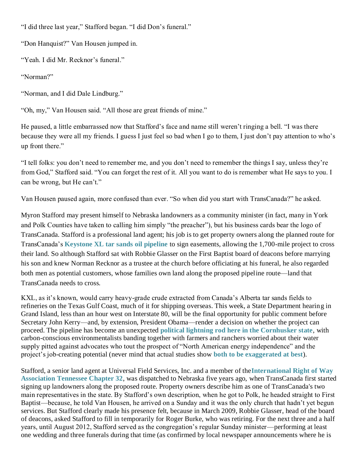"I did three last year," Stafford began. "I did Don's funeral."

"Don Hanquist?" Van Housen jumped in.

"Yeah. I did Mr. Recknor's funeral."

"Norman?"

"Norman, and I did Dale Lindburg."

"Oh, my," Van Housen said. "All those are great friends of mine."

He paused, a little embarrassed now that Stafford's face and name still weren't ringing a bell. "I was there because they were all my friends. I guess I just feel so bad when I go to them, I just don't pay attention to who's up front there."

"I tell folks: you don't need to remember me, and you don't need to remember the things I say, unless they're from God," Stafford said. "You can forget the rest of it. All you want to do is remember what He says to you. I can be wrong, but He can't."

Van Housen paused again, more confused than ever. "So when did you start with TransCanada?" he asked.

Myron Stafford may present himself to Nebraska landowners as a community minister (in fact, many in York and Polk Counties have taken to calling him simply "the preacher"), but his business cards bear the logo of TransCanada. Stafford is a professional land agent; his job is to get property owners along the planned route for TransCanada's **[Keystone XL tar sands oil pipeline](http://www.onearth.org/keystonexl)** to sign easements, allowing the 1,700-mile project to cross their land. So although Stafford sat with Robbie Glasser on the First Baptist board of deacons before marrying his son and knew Norman Recknor as a trustee at the church before officiating at his funeral, he also regarded both men as potential customers, whose families own land along the proposed pipeline route—land that TransCanada needs to cross.

KXL, as it's known, would carry heavy-grade crude extracted from Canada's Alberta tar sands fields to refineries on the Texas Gulf Coast, much of it for shipping overseas. This week, a State Department hearing in Grand Island, less than an hour west on Interstate 80, will be the final opportunity for public comment before Secretary John Kerry—and, by extension, President Obama—render a decision on whether the project can proceed. The pipeline has become an unexpected **[political lightning rod here in the Cornhusker state](http://www.onearth.org/article/keystone-xl-tar-sands-hearing-nebraska)**, with carbon-conscious environmentalists banding together with farmers and ranchers worried about their water supply pitted against advocates who tout the prospect of "North American energy independence" and the project's job-creating potential (never mind that actual studies show **[both to be exaggerated at best](http://www.nrdc.org/energy/keystonejobs.asp)**).

Stafford, a senior land agent at Universal Field Services, Inc. and a member of the**[International Right of Way](http://www.irwachapter32.org/members.html)  [Association Tennessee Chapter 32](http://www.irwachapter32.org/members.html)**, was dispatched to Nebraska five years ago, when TransCanada first started signing up landowners along the proposed route. Property owners describe him as one of TransCanada's two main representatives in the state. By Stafford's own description, when he got to Polk, he headed straight to First Baptist—because, he told Van Housen, he arrived on a Sunday and it was the only church that hadn't yet begun services. But Stafford clearly made his presence felt, because in March 2009, Robbie Glasser, head of the board of deacons, asked Stafford to fill in temporarily for Roger Burke, who was retiring. For the next three and a half years, until August 2012, Stafford served as the congregation's regular Sunday minister—performing at least one wedding and three funerals during that time (as confirmed by local newspaper announcements where he is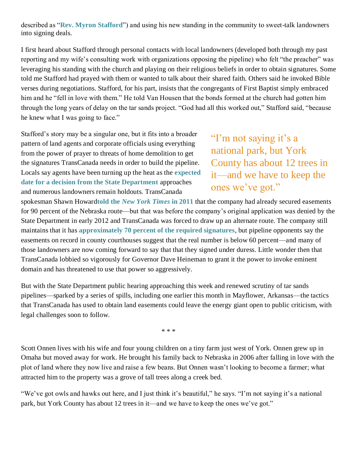described as "**[Rev. Myron Stafford](http://www.soltfh.com/viewListing.asp?listId=3131)**") and using his new standing in the community to sweet-talk landowners into signing deals.

I first heard about Stafford through personal contacts with local landowners (developed both through my past reporting and my wife's consulting work with organizations opposing the pipeline) who felt "the preacher" was leveraging his standing with the church and playing on their religious beliefs in order to obtain signatures. Some told me Stafford had prayed with them or wanted to talk about their shared faith. Others said he invoked Bible verses during negotiations. Stafford, for his part, insists that the congregants of First Baptist simply embraced him and he "fell in love with them." He told Van Housen that the bonds formed at the church had gotten him through the long years of delay on the tar sands project. "God had all this worked out," Stafford said, "because he knew what I was going to face."

Stafford's story may be a singular one, but it fits into a broader pattern of land agents and corporate officials using everything from the power of prayer to threats of home demolition to get the signatures TransCanada needs in order to build the pipeline. Locals say agents have been turning up the heat as the **[expected](http://fuelfix.com/blog/2013/04/10/keystone-xl-decision-many-months-away-exec-says/)  [date for a decision from the State Department](http://fuelfix.com/blog/2013/04/10/keystone-xl-decision-many-months-away-exec-says/)** approaches and numerous landowners remain holdouts. TransCanada

"I'm not saying it's a national park, but York County has about 12 trees in it—and we have to keep the ones we've got."

spokesman Shawn Howard**told the** *[New York Times](http://www.nytimes.com/2011/10/18/us/transcanada-in-eminent-domain-fight-over-pipeline.html?pagewanted=all&_r=0)* **in 2011** that the company had already secured easements for 90 percent of the Nebraska route—but that was before the company's original application was denied by the State Department in early 2012 and TransCanada was forced to draw up an alternate route. The company still maintains that it has **[approximately 70 percent of the required signatures](http://webcache.googleusercontent.com/search?q=cache:TEF5ayXMtIsJ:www.omaha.com/article/20120617/NEWS01/706179941+&cd=2&hl=en&ct=clnk&gl=us&client=firefox-a)**, but pipeline opponents say the easements on record in county courthouses suggest that the real number is below 60 percent—and many of those landowners are now coming forward to say that that they signed under duress. Little wonder then that TransCanada lobbied so vigorously for Governor Dave Heineman to grant it the power to invoke eminent domain and has threatened to use that power so aggressively.

But with the State Department public hearing approaching this week and renewed scrutiny of tar sands pipelines—sparked by a series of spills, including one earlier this month in Mayflower, Arkansas—the tactics that TransCanada has used to obtain land easements could leave the energy giant open to public criticism, with legal challenges soon to follow.

 $* * *$ 

Scott Onnen lives with his wife and four young children on a tiny farm just west of York. Onnen grew up in Omaha but moved away for work. He brought his family back to Nebraska in 2006 after falling in love with the plot of land where they now live and raise a few beans. But Onnen wasn't looking to become a farmer; what attracted him to the property was a grove of tall trees along a creek bed.

"We've got owls and hawks out here, and I just think it's beautiful," he says. "I'm not saying it's a national park, but York County has about 12 trees in it—and we have to keep the ones we've got."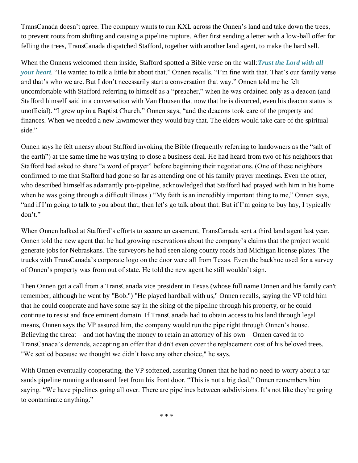TransCanada doesn't agree. The company wants to run KXL across the Onnen's land and take down the trees, to prevent roots from shifting and causing a pipeline rupture. After first sending a letter with a low-ball offer for felling the trees, TransCanada dispatched Stafford, together with another land agent, to make the hard sell.

When the Onnens welcomed them inside, Stafford spotted a Bible verse on the wall:*[Trust the Lord with all](http://bible.cc/proverbs/3-5.htm)  [your heart](http://bible.cc/proverbs/3-5.htm)*. "He wanted to talk a little bit about that," Onnen recalls. "I'm fine with that. That's our family verse and that's who we are. But I don't necessarily start a conversation that way." Onnen told me he felt uncomfortable with Stafford referring to himself as a "preacher," when he was ordained only as a deacon (and Stafford himself said in a conversation with Van Housen that now that he is divorced, even his deacon status is unofficial). "I grew up in a Baptist Church," Onnen says, "and the deacons took care of the property and finances. When we needed a new lawnmower they would buy that. The elders would take care of the spiritual side."

Onnen says he felt uneasy about Stafford invoking the Bible (frequently referring to landowners as the "salt of the earth") at the same time he was trying to close a business deal. He had heard from two of his neighbors that Stafford had asked to share "a word of prayer" before beginning their negotiations. (One of these neighbors confirmed to me that Stafford had gone so far as attending one of his family prayer meetings. Even the other, who described himself as adamantly pro-pipeline, acknowledged that Stafford had prayed with him in his home when he was going through a difficult illness.) "My faith is an incredibly important thing to me," Onnen says, "and if I'm going to talk to you about that, then let's go talk about that. But if I'm going to buy hay, I typically don't."

When Onnen balked at Stafford's efforts to secure an easement, TransCanada sent a third land agent last year. Onnen told the new agent that he had growing reservations about the company's claims that the project would generate jobs for Nebraskans. The surveyors he had seen along county roads had Michigan license plates. The trucks with TransCanada's corporate logo on the door were all from Texas. Even the backhoe used for a survey of Onnen's property was from out of state. He told the new agent he still wouldn't sign.

Then Onnen got a call from a TransCanada vice president in Texas (whose full name Onnen and his family can't remember, although he went by "Bob.") "He played hardball with us," Onnen recalls, saying the VP told him that he could cooperate and have some say in the siting of the pipeline through his property, or he could continue to resist and face eminent domain. If TransCanada had to obtain access to his land through legal means, Onnen says the VP assured him, the company would run the pipe right through Onnen's house. Believing the threat—and not having the money to retain an attorney of his own—Onnen caved in to TransCanada's demands, accepting an offer that didn't even cover the replacement cost of his beloved trees. "We settled because we thought we didn't have any other choice," he says.

With Onnen eventually cooperating, the VP softened, assuring Onnen that he had no need to worry about a tar sands pipeline running a thousand feet from his front door. "This is not a big deal," Onnen remembers him saying. "We have pipelines going all over. There are pipelines between subdivisions. It's not like they're going to contaminate anything."

 $* * *$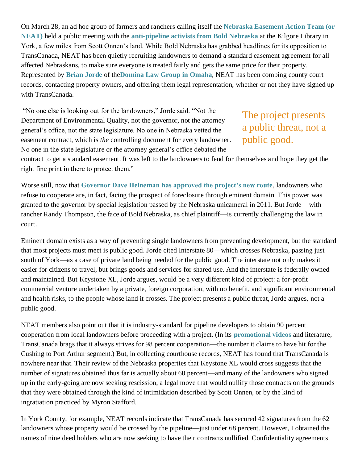On March 28, an ad hoc group of farmers and ranchers calling itself the **[Nebraska Easement Action Team \(or](http://www.nebraskaeasement.org/)  [NEAT\)](http://www.nebraskaeasement.org/)** held a public meeting with the **[anti-pipeline activists from Bold Nebraska](http://boldnebraska.org/)** at the Kilgore Library in York, a few miles from Scott Onnen's land. While Bold Nebraska has grabbed headlines for its opposition to TransCanada, NEAT has been quietly recruiting landowners to demand a standard easement agreement for all affected Nebraskans, to make sure everyone is treated fairly and gets the same price for their property. Represented by **[Brian Jorde](http://www.dominalaw.com/Our-Lawyers/Brian-E-Jorde.aspx)** of the**[Domina Law Group in Omaha](http://www.dominalaw.com/)**, NEAT has been combing county court records, contacting property owners, and offering them legal representation, whether or not they have signed up with TransCanada.

"No one else is looking out for the landowners," Jorde said. "Not the Department of Environmental Quality, not the governor, not the attorney general's office, not the state legislature. No one in Nebraska vetted the easement contract, which is *the* controlling document for every landowner. No one in the state legislature or the attorney general's office debated the

The project presents a public threat, not a public good.

contract to get a standard easement. It was left to the landowners to fend for themselves and hope they get the right fine print in there to protect them."

Worse still, now that **[Governor Dave Heineman has approved the project's new route](http://green.blogs.nytimes.com/2013/01/22/nebraska-governor-approves-keystone-xl-route/)**, landowners who refuse to cooperate are, in fact, facing the prospect of foreclosure through eminent domain. This power was granted to the governor by special legislation passed by the Nebraska unicameral in 2011. But Jorde—with rancher Randy Thompson, the face of Bold Nebraska, as chief plaintiff—is currently challenging the law in court.

Eminent domain exists as a way of preventing single landowners from preventing development, but the standard that most projects must meet is public good. Jorde cited Interstate 80—which crosses Nebraska, passing just south of York—as a case of private land being needed for the public good. The interstate not only makes it easier for citizens to travel, but brings goods and services for shared use. And the interstate is federally owned and maintained. But Keystone XL, Jorde argues, would be a very different kind of project: a for-profit commercial venture undertaken by a private, foreign corporation, with no benefit, and significant environmental and health risks, to the people whose land it crosses. The project presents a public threat, Jorde argues, not a public good.

NEAT members also point out that it is industry-standard for pipeline developers to obtain 90 percent cooperation from local landowners before proceeding with a project. (In its **[promotional videos](http://blog.transcanada.com/good-landowner-relations-vital/)** and literature, TransCanada brags that it always strives for 98 percent cooperation—the number it claims to have hit for the Cushing to Port Arthur segment.) But, in collecting courthouse records, NEAT has found that TransCanada is nowhere near that. Their review of the Nebraska properties that Keystone XL would cross suggests that the number of signatures obtained thus far is actually about 60 percent—and many of the landowners who signed up in the early-going are now seeking rescission, a legal move that would nullify those contracts on the grounds that they were obtained through the kind of intimidation described by Scott Onnen, or by the kind of ingratiation practiced by Myron Stafford.

In York County, for example, NEAT records indicate that TransCanada has secured 42 signatures from the 62 landowners whose property would be crossed by the pipeline—just under 68 percent. However, I obtained the names of nine deed holders who are now seeking to have their contracts nullified. Confidentiality agreements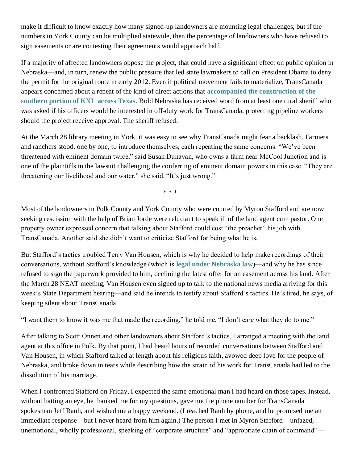make it difficult to know exactly how many signed-up landowners are mounting legal challenges, but if the numbers in York County can be multiplied statewide, then the percentage of landowners who have refused to sign easements or are contesting their agreements would approach half.

If a majority of affected landowners oppose the project, that could have a significant effect on public opinion in Nebraska—and, in turn, renew the public pressure that led state lawmakers to call on President Obama to deny the permit for the original route in early 2012. Even if political movement fails to materialize, TransCanada appears concerned about a repeat of the kind of direct actions that **[accompanied the construction of the](http://www.onearth.org/blog/texas-showdown-keystone-xl-pipeline-protests)  [southern portion of KXL across Texas](http://www.onearth.org/blog/texas-showdown-keystone-xl-pipeline-protests)**. Bold Nebraska has received word from at least one rural sheriff who was asked if his officers would be interested in off-duty work for TransCanada, protecting pipeline workers should the project receive approval. The sheriff refused.

At the March 28 library meeting in York, it was easy to see why TransCanada might fear a backlash. Farmers and ranchers stood, one by one, to introduce themselves, each repeating the same concerns. "We've been threatened with eminent domain twice," said Susan Dunavan, who owns a farm near McCool Junction and is one of the plaintiffs in the lawsuit challenging the conferring of eminent domain powers in this case. "They are threatening our livelihood and our water," she said. "It's just wrong."

 $* * *$ 

Most of the landowners in Polk County and York County who were courted by Myron Stafford and are now seeking rescission with the help of Brian Jorde were reluctant to speak ill of the land agent cum pastor. One property owner expressed concern that talking about Stafford could cost "the preacher" his job with TransCanada. Another said she didn't want to criticize Stafford for being what he is.

But Stafford's tactics troubled Terry Van Housen, which is why he decided to help make recordings of their conversations, without Stafford's knowledge (which is **[legal under Nebraska law](http://www.aapsonline.org/judicial/telephone.htm)**)—and why he has since refused to sign the paperwork provided to him, declining the latest offer for an easement across his land. After the March 28 NEAT meeting, Van Housen even signed up to talk to the national news media arriving for this week's State Department hearing—and said he intends to testify about Stafford's tactics. He's tired, he says, of keeping silent about TransCanada.

"I want them to know it was me that made the recording," he told me. "I don't care what they do to me."

After talking to Scott Onnen and other landowners about Stafford's tactics, I arranged a meeting with the land agent at this office in Polk. By that point, I had heard hours of recorded conversations between Stafford and Van Housen, in which Stafford talked at length about his religious faith, avowed deep love for the people of Nebraska, and broke down in tears while describing how the strain of his work for TransCanada had led to the dissolution of his marriage.

When I confronted Stafford on Friday, I expected the same emotional man I had heard on those tapes. Instead, without batting an eye, he thanked me for my questions, gave me the phone number for TransCanada spokesman Jeff Rauh, and wished me a happy weekend. (I reached Rauh by phone, and he promised me an immediate response—but I never heard from him again.) The person I met in Myron Stafford—unfazed, unemotional, wholly professional, speaking of "corporate structure" and "appropriate chain of command"—